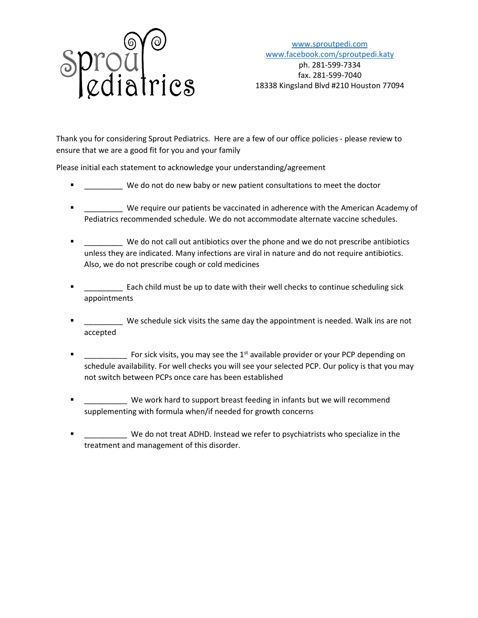

[www.sproutpedi.com](http://www.sproutpedi.com/) [www.facebook.com/sproutpedi.katy](http://www.facebook.com/sproutpedi.katy) ph. 281-599-7334 fax. 281-599-7040 18338 Kingsland Blvd #210 Houston 77094

Thank you for considering Sprout Pediatrics. Here are a few of our office policies - please review to ensure that we are a good fit for you and your family

Please initial each statement to acknowledge your understanding/agreement

- \_\_\_\_\_\_\_\_\_ We do not do new baby or new patient consultations to meet the doctor
- \_\_\_\_\_\_\_\_\_ We require our patients be vaccinated in adherence with the American Academy of Pediatrics recommended schedule. We do not accommodate alternate vaccine schedules.
- **F** \_\_\_\_\_\_\_\_ We do not call out antibiotics over the phone and we do not prescribe antibiotics unless they are indicated. Many infections are viral in nature and do not require antibiotics. Also, we do not prescribe cough or cold medicines
- \_\_\_\_\_\_\_\_\_ Each child must be up to date with their well checks to continue scheduling sick appointments
- **T** \_\_\_\_\_\_\_\_\_ We schedule sick visits the same day the appointment is needed. Walk ins are not accepted
- Fig. The Section of the 1st available provider or your PCP depending on schedule availability. For well checks you will see your selected PCP. Our policy is that you may not switch between PCPs once care has been established
- We work hard to support breast feeding in infants but we will recommend supplementing with formula when/if needed for growth concerns
- \_\_\_\_\_\_\_\_\_\_ We do not treat ADHD. Instead we refer to psychiatrists who specialize in the treatment and management of this disorder.